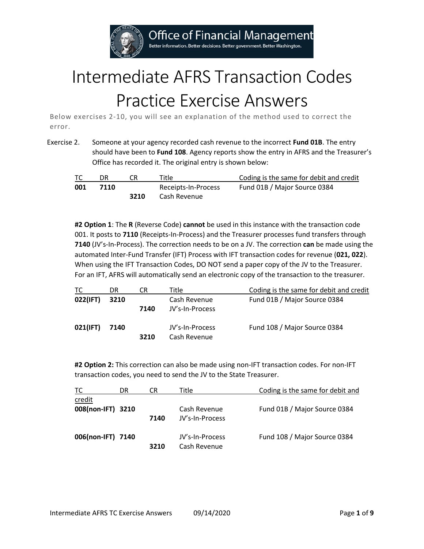**Office of Financial Management** 

Better information. Better decisions. Better government. Better Washington.

## Intermediate AFRS Transaction Codes Practice Exercise Answers

Below exercises 2-10, you will see an explanation of the method used to correct the error.

Exercise 2. Someone at your agency recorded cash revenue to the incorrect **Fund 01B**. The entry should have been to **Fund 108**. Agency reports show the entry in AFRS and the Treasurer's Office has recorded it. The original entry is shown below:

| TC  | DR   |      | Title               | Coding is the same for debit and credit |
|-----|------|------|---------------------|-----------------------------------------|
| 001 | 7110 |      | Receipts-In-Process | Fund 01B / Major Source 0384            |
|     |      | 3210 | Cash Revenue        |                                         |

**#2 Option 1**: The **R** (Reverse Code) **cannot** be used in this instance with the transaction code 001. It posts to **7110** (Receipts-In-Process) and the Treasurer processes fund transfers through **7140** (JV's-In-Process). The correction needs to be on a JV. The correction **can** be made using the automated Inter-Fund Transfer (IFT) Process with IFT transaction codes for revenue (**021, 022**). When using the IFT Transaction Codes, DO NOT send a paper copy of the JV to the Treasurer. For an IFT, AFRS will automatically send an electronic copy of the transaction to the treasurer.

| TC       | DR   | CR   | Title                           | Coding is the same for debit and credit |
|----------|------|------|---------------------------------|-----------------------------------------|
| 022(IFT) | 3210 | 7140 | Cash Revenue<br>JV's-In-Process | Fund 01B / Major Source 0384            |
| 021(IFT) | 7140 | 3210 | JV's-In-Process<br>Cash Revenue | Fund 108 / Major Source 0384            |

**#2 Option 2:** This correction can also be made using non-IFT transaction codes. For non-IFT transaction codes, you need to send the JV to the State Treasurer.

| ТC                | DR | CR   | Title           | Coding is the same for debit and |
|-------------------|----|------|-----------------|----------------------------------|
| credit            |    |      |                 |                                  |
| 008(non-IFT) 3210 |    |      | Cash Revenue    | Fund 01B / Major Source 0384     |
|                   |    | 7140 | JV's-In-Process |                                  |
| 006(non-IFT) 7140 |    |      | JV's-In-Process | Fund 108 / Major Source 0384     |
|                   |    | 3210 | Cash Revenue    |                                  |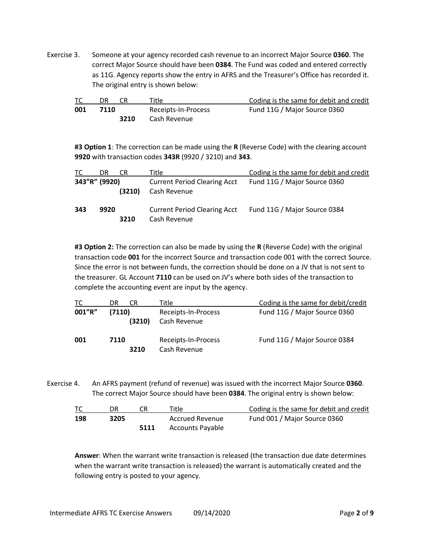Exercise 3. Someone at your agency recorded cash revenue to an incorrect Major Source **0360**. The correct Major Source should have been **0384**. The Fund was coded and entered correctly as 11G. Agency reports show the entry in AFRS and the Treasurer's Office has recorded it. The original entry is shown below:

|     | DR   | Title               | Coding is the same for debit and credit |
|-----|------|---------------------|-----------------------------------------|
| 001 | 7110 | Receipts-In-Process | Fund 11G / Major Source 0360            |
|     | 3210 | Cash Revenue        |                                         |

**#3 Option 1**: The correction can be made using the **R** (Reverse Code) with the clearing account **9920** with transaction codes **343R** (9920 / 3210) and **343**.

| TC            | DR   | CR     | Title                                               | Coding is the same for debit and credit |
|---------------|------|--------|-----------------------------------------------------|-----------------------------------------|
| 343"R" (9920) |      | (3210) | <b>Current Period Clearing Acct</b><br>Cash Revenue | Fund 11G / Major Source 0360            |
| 343           | 9920 | 3210   | <b>Current Period Clearing Acct</b><br>Cash Revenue | Fund 11G / Major Source 0384            |

**#3 Option 2:** The correction can also be made by using the **R** (Reverse Code) with the original transaction code **001** for the incorrect Source and transaction code 001 with the correct Source. Since the error is not between funds, the correction should be done on a JV that is not sent to the treasurer. GL Account **7110** can be used on JV's where both sides of the transaction to complete the accounting event are input by the agency.

| TC     | CR<br>DR         | Title                               | Coding is the same for debit/credit |
|--------|------------------|-------------------------------------|-------------------------------------|
| 001"R" | (7110)<br>(3210) | Receipts-In-Process<br>Cash Revenue | Fund 11G / Major Source 0360        |
| 001    | 7110<br>3210     | Receipts-In-Process<br>Cash Revenue | Fund 11G / Major Source 0384        |

Exercise 4. An AFRS payment (refund of revenue) was issued with the incorrect Major Source **0360**. The correct Major Source should have been **0384**. The original entry is shown below:

| ТC  |      |      | Title                   | Coding is the same for debit and credit |
|-----|------|------|-------------------------|-----------------------------------------|
| 198 | 3205 |      | Accrued Revenue         | Fund 001 / Major Source 0360            |
|     |      | 5111 | <b>Accounts Payable</b> |                                         |

**Answer**: When the warrant write transaction is released (the transaction due date determines when the warrant write transaction is released) the warrant is automatically created and the following entry is posted to your agency.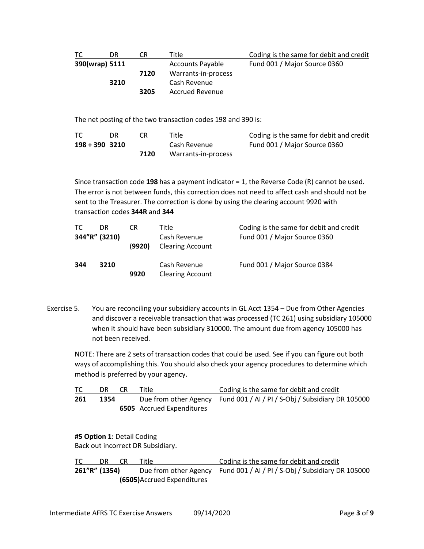| TC.            | DR   | CR   | <sup>r</sup> itle:      | Coding is the same for debit and credit |
|----------------|------|------|-------------------------|-----------------------------------------|
| 390(wrap) 5111 |      |      | <b>Accounts Payable</b> | Fund 001 / Major Source 0360            |
|                |      | 7120 | Warrants-in-process     |                                         |
|                | 3210 |      | Cash Revenue            |                                         |
|                |      | 3205 | <b>Accrued Revenue</b>  |                                         |

The net posting of the two transaction codes 198 and 390 is:

| ТC               |      | Title               | Coding is the same for debit and credit |
|------------------|------|---------------------|-----------------------------------------|
| $198 + 390$ 3210 |      | Cash Revenue        | Fund 001 / Major Source 0360            |
|                  | 7120 | Warrants-in-process |                                         |

Since transaction code **198** has a payment indicator = 1, the Reverse Code (R) cannot be used. The error is not between funds, this correction does not need to affect cash and should not be sent to the Treasurer. The correction is done by using the clearing account 9920 with transaction codes **344R** and **344**

| ТC            | DR   | CR     | Title                                   | Coding is the same for debit and credit |
|---------------|------|--------|-----------------------------------------|-----------------------------------------|
| 344"R" (3210) |      | (9920) | Cash Revenue<br><b>Clearing Account</b> | Fund 001 / Major Source 0360            |
| 344           | 3210 | 9920   | Cash Revenue<br><b>Clearing Account</b> | Fund 001 / Major Source 0384            |

Exercise 5. You are reconciling your subsidiary accounts in GL Acct 1354 – Due from Other Agencies and discover a receivable transaction that was processed (TC 261) using subsidiary 105000 when it should have been subsidiary 310000. The amount due from agency 105000 has not been received.

NOTE: There are 2 sets of transaction codes that could be used. See if you can figure out both ways of accomplishing this. You should also check your agency procedures to determine which method is preferred by your agency.

|     | DR.  | CR | Title                            | Coding is the same for debit and credit                                 |
|-----|------|----|----------------------------------|-------------------------------------------------------------------------|
| 261 | 1354 |    |                                  | Due from other Agency Fund 001 / AI / PI / S-Obj / Subsidiary DR 105000 |
|     |      |    | <b>6505</b> Accrued Expenditures |                                                                         |

**#5 Option 1:** Detail Coding Back out incorrect DR Subsidiary.

TC DR CR Title Coding is the same for debit and credit **261"R" (1354)** Due from other Agency Fund 001 / AI / PI / S-Obj / Subsidiary DR 105000 **(6505)**Accrued Expenditures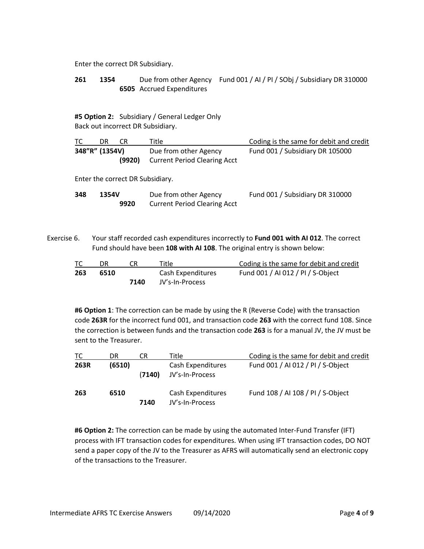Enter the correct DR Subsidiary.

**261 1354** Due from other Agency Fund 001 / AI / PI / SObj / Subsidiary DR 310000 **6505** Accrued Expenditures

**#5 Option 2:** Subsidiary / General Ledger Only Back out incorrect DR Subsidiary.

| TC.            | DR | CR     | Title                                                        | Coding is the same for debit and credit |
|----------------|----|--------|--------------------------------------------------------------|-----------------------------------------|
| 348"R" (1354V) |    | (9920) | Due from other Agency<br><b>Current Period Clearing Acct</b> | Fund 001 / Subsidiary DR 105000         |
|                |    |        | Enter the correct DR Subsidiary.                             |                                         |
|                |    |        |                                                              |                                         |

| 348 | 1354V | Due from other Agency               | Fund 001 / Subsidiary DR 310000 |
|-----|-------|-------------------------------------|---------------------------------|
|     | 9920  | <b>Current Period Clearing Acct</b> |                                 |

Exercise 6. Your staff recorded cash expenditures incorrectly to **Fund 001 with AI 012**. The correct Fund should have been **108 with AI 108**. The original entry is shown below:

| ТC  | DR.  |      | Title             | Coding is the same for debit and credit |
|-----|------|------|-------------------|-----------------------------------------|
| 263 | 6510 |      | Cash Expenditures | Fund 001 / AI 012 / PI / S-Object       |
|     |      | 7140 | JV's-In-Process   |                                         |

**#6 Option 1**: The correction can be made by using the R (Reverse Code) with the transaction code **263R** for the incorrect fund 001, and transaction code **263** with the correct fund 108. Since the correction is between funds and the transaction code **263** is for a manual JV, the JV must be sent to the Treasurer.

| ТC   | DR     | CR     | Title i                              | Coding is the same for debit and credit |
|------|--------|--------|--------------------------------------|-----------------------------------------|
| 263R | (6510) | (7140) | Cash Expenditures<br>JV's-In-Process | Fund 001 / AI 012 / PI / S-Object       |
| 263  | 6510   | 7140   | Cash Expenditures<br>JV's-In-Process | Fund 108 / AI 108 / PI / S-Object       |

**#6 Option 2:** The correction can be made by using the automated Inter-Fund Transfer (IFT) process with IFT transaction codes for expenditures. When using IFT transaction codes, DO NOT send a paper copy of the JV to the Treasurer as AFRS will automatically send an electronic copy of the transactions to the Treasurer.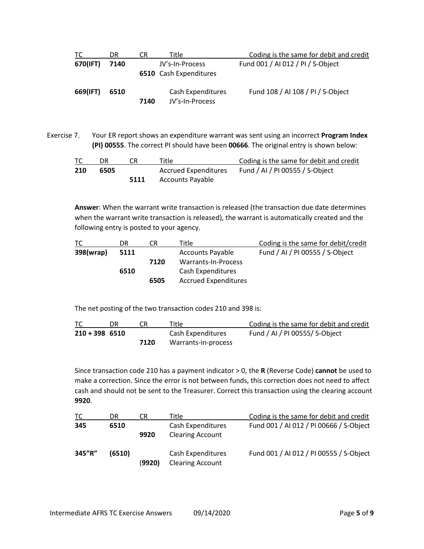| ТC       | DR   | CR   | Title                                            | Coding is the same for debit and credit |
|----------|------|------|--------------------------------------------------|-----------------------------------------|
| 670(IFT) | 7140 |      | JV's-In-Process<br><b>6510</b> Cash Expenditures | Fund 001 / AI 012 / PI / S-Object       |
| 669(IFT) | 6510 | 7140 | Cash Expenditures<br>JV's-In-Process             | Fund 108 / AI 108 / PI / S-Object       |

Exercise 7. Your ER report shows an expenditure warrant was sent using an incorrect **Program Index (PI) 00555**. The correct PI should have been **00666**. The original entry is shown below:

| ТC  | DR.  |      | Title                | Coding is the same for debit and credit |
|-----|------|------|----------------------|-----------------------------------------|
| 210 | 6505 |      | Accrued Expenditures | Fund / AI / PI 00555 / S-Object         |
|     |      | 5111 | Accounts Payable     |                                         |

**Answer**: When the warrant write transaction is released (the transaction due date determines when the warrant write transaction is released), the warrant is automatically created and the following entry is posted to your agency.

| ТC        | DR   | CR   | Title                       | Coding is the same for debit/credit |
|-----------|------|------|-----------------------------|-------------------------------------|
| 398(wrap) | 5111 |      | <b>Accounts Payable</b>     | Fund / AI / PI 00555 / S-Object     |
|           |      | 7120 | Warrants-In-Process         |                                     |
|           | 6510 |      | Cash Expenditures           |                                     |
|           |      | 6505 | <b>Accrued Expenditures</b> |                                     |

The net posting of the two transaction codes 210 and 398 is:

| ТC               |      | Title               | Coding is the same for debit and credit |
|------------------|------|---------------------|-----------------------------------------|
| $210 + 398$ 6510 |      | Cash Expenditures   | Fund / AI / PI 00555/ S-Object          |
|                  | 7120 | Warrants-in-process |                                         |

Since transaction code 210 has a payment indicator > 0, the **R** (Reverse Code) **cannot** be used to make a correction. Since the error is not between funds, this correction does not need to affect cash and should not be sent to the Treasurer. Correct this transaction using the clearing account **9920**.

| TC     | DR     | CR     | Title                                        | Coding is the same for debit and credit |
|--------|--------|--------|----------------------------------------------|-----------------------------------------|
| 345    | 6510   | 9920   | Cash Expenditures<br><b>Clearing Account</b> | Fund 001 / AI 012 / PI 00666 / S-Object |
| 345"R" | (6510) | (9920) | Cash Expenditures<br><b>Clearing Account</b> | Fund 001 / AI 012 / PI 00555 / S-Object |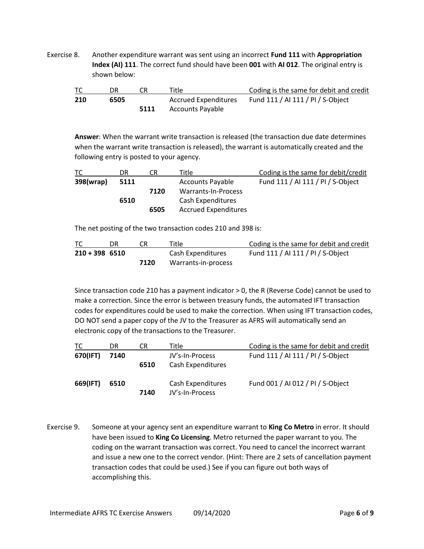Exercise 8. Another expenditure warrant was sent using an incorrect **Fund 111** with **Appropriation Index (AI) 111**. The correct fund should have been **001** with **AI 012**. The original entry is shown below:

| TC  | DR   |      | Title                | Coding is the same for debit and credit |
|-----|------|------|----------------------|-----------------------------------------|
| 210 | 6505 |      | Accrued Expenditures | Fund 111 / AI 111 / PI / S-Object       |
|     |      | 5111 | Accounts Payable     |                                         |

**Answer**: When the warrant write transaction is released (the transaction due date determines when the warrant write transaction is released), the warrant is automatically created and the following entry is posted to your agency.

| ТC        | DR   | CR   | Title                       | Coding is the same for debit/credit |
|-----------|------|------|-----------------------------|-------------------------------------|
| 398(wrap) | 5111 |      | <b>Accounts Payable</b>     | Fund 111 / AI 111 / PI / S-Object   |
|           |      | 7120 | Warrants-In-Process         |                                     |
|           | 6510 |      | Cash Expenditures           |                                     |
|           |      | 6505 | <b>Accrued Expenditures</b> |                                     |

The net posting of the two transaction codes 210 and 398 is:

| TC               |      | Title               | Coding is the same for debit and credit |
|------------------|------|---------------------|-----------------------------------------|
| $210 + 398$ 6510 |      | Cash Expenditures   | Fund 111 / AI 111 / PI / S-Object       |
|                  | 7120 | Warrants-in-process |                                         |

Since transaction code 210 has a payment indicator > 0, the R (Reverse Code) cannot be used to make a correction. Since the error is between treasury funds, the automated IFT transaction codes for expenditures could be used to make the correction. When using IFT transaction codes, DO NOT send a paper copy of the JV to the Treasurer as AFRS will automatically send an electronic copy of the transactions to the Treasurer.

| ТC       | DR   | CR   | Title                                | Coding is the same for debit and credit |
|----------|------|------|--------------------------------------|-----------------------------------------|
| 670(IFT) | 7140 | 6510 | JV's-In-Process<br>Cash Expenditures | Fund 111 / AI 111 / PI / S-Object       |
| 669(IFT) | 6510 | 7140 | Cash Expenditures<br>JV's-In-Process | Fund 001 / AI 012 / PI / S-Object       |

Exercise 9. Someone at your agency sent an expenditure warrant to **King Co Metro** in error. It should have been issued to **King Co Licensing**. Metro returned the paper warrant to you. The coding on the warrant transaction was correct. You need to cancel the incorrect warrant and issue a new one to the correct vendor. (Hint: There are 2 sets of cancellation payment transaction codes that could be used.) See if you can figure out both ways of accomplishing this.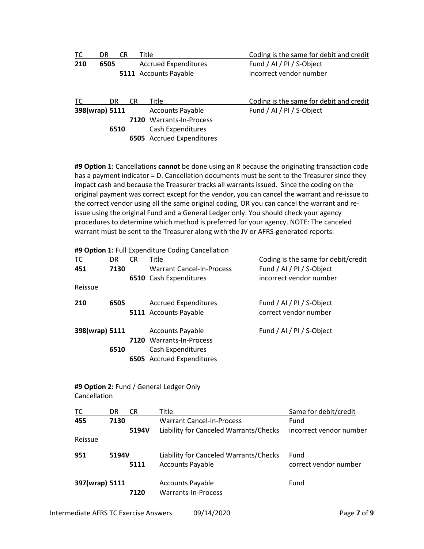| TC             | DR   | CR   | Title                       | Coding is the same for debit and credit |
|----------------|------|------|-----------------------------|-----------------------------------------|
| 210            | 6505 |      | <b>Accrued Expenditures</b> | Fund / AI / PI / S-Object               |
|                |      |      | 5111 Accounts Payable       | incorrect vendor number                 |
| TC             | DR.  | CR   | Title                       | Coding is the same for debit and credit |
| 398(wrap) 5111 |      |      | <b>Accounts Payable</b>     | Fund / AI / PI / S-Object               |
|                |      | 7120 | Warrants-In-Process         |                                         |
|                | 6510 |      | Cash Expenditures           |                                         |
|                |      |      | 6505 Accrued Expenditures   |                                         |

**#9 Option 1:** Cancellations **cannot** be done using an R because the originating transaction code has a payment indicator = D. Cancellation documents must be sent to the Treasurer since they impact cash and because the Treasurer tracks all warrants issued. Since the coding on the original payment was correct except for the vendor, you can cancel the warrant and re-issue to the correct vendor using all the same original coding, OR you can cancel the warrant and reissue using the original Fund and a General Ledger only. You should check your agency procedures to determine which method is preferred for your agency. NOTE: The canceled warrant must be sent to the Treasurer along with the JV or AFRS-generated reports.

**#9 Option 1:** Full Expenditure Coding Cancellation

| TC             | DR   | CR | Title                            | Coding is the same for debit/credit |
|----------------|------|----|----------------------------------|-------------------------------------|
| 451            | 7130 |    | <b>Warrant Cancel-In-Process</b> | Fund / AI / PI / S-Object           |
|                |      |    | 6510 Cash Expenditures           | incorrect vendor number             |
| Reissue        |      |    |                                  |                                     |
| 210            | 6505 |    | <b>Accrued Expenditures</b>      | Fund / AI / PI / S-Object           |
|                |      |    | 5111 Accounts Payable            | correct vendor number               |
| 398(wrap) 5111 |      |    | <b>Accounts Payable</b>          | Fund / AI / PI / S-Object           |
|                |      |    | 7120 Warrants-In-Process         |                                     |
|                | 6510 |    | Cash Expenditures                |                                     |
|                |      |    | 6505 Accrued Expenditures        |                                     |

## **#9 Option 2:** Fund / General Ledger Only Cancellation

| TC             | DR    | CR    | Title                                                             | Same for debit/credit         |
|----------------|-------|-------|-------------------------------------------------------------------|-------------------------------|
| 455            | 7130  |       | <b>Warrant Cancel-In-Process</b>                                  | Fund                          |
|                |       | 5194V | Liability for Canceled Warrants/Checks                            | incorrect vendor number       |
| Reissue        |       |       |                                                                   |                               |
| 951            | 5194V | 5111  | Liability for Canceled Warrants/Checks<br><b>Accounts Payable</b> | Fund<br>correct vendor number |
| 397(wrap) 5111 |       | 7120  | <b>Accounts Payable</b><br>Warrants-In-Process                    | Fund                          |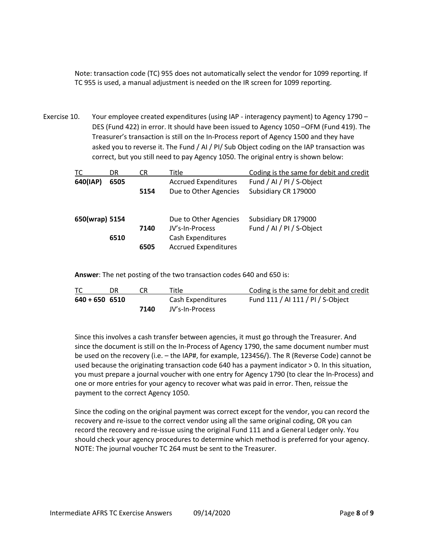Note: transaction code (TC) 955 does not automatically select the vendor for 1099 reporting. If TC 955 is used, a manual adjustment is needed on the IR screen for 1099 reporting.

Exercise 10. Your employee created expenditures (using IAP - interagency payment) to Agency 1790 – DES (Fund 422) in error. It should have been issued to Agency 1050 –OFM (Fund 419). The Treasurer's transaction is still on the In-Process report of Agency 1500 and they have asked you to reverse it. The Fund / AI / PI/ Sub Object coding on the IAP transaction was correct, but you still need to pay Agency 1050. The original entry is shown below:

| TC             | DR   | CR   | Title                                                | Coding is the same for debit and credit           |
|----------------|------|------|------------------------------------------------------|---------------------------------------------------|
| 640(IAP)       | 6505 | 5154 | <b>Accrued Expenditures</b><br>Due to Other Agencies | Fund / AI / PI / S-Object<br>Subsidiary CR 179000 |
| 650(wrap) 5154 |      | 7140 | Due to Other Agencies<br>JV's-In-Process             | Subsidiary DR 179000<br>Fund / AI / PI / S-Object |
|                | 6510 | 6505 | Cash Expenditures<br><b>Accrued Expenditures</b>     |                                                   |

**Answer**: The net posting of the two transaction codes 640 and 650 is:

| ТC               |      | Title             | Coding is the same for debit and credit |
|------------------|------|-------------------|-----------------------------------------|
| $640 + 650$ 6510 |      | Cash Expenditures | Fund 111 / AI 111 / PI / S-Object       |
|                  | 7140 | JV's-In-Process   |                                         |

Since this involves a cash transfer between agencies, it must go through the Treasurer. And since the document is still on the In-Process of Agency 1790, the same document number must be used on the recovery (i.e. – the IAP#, for example, 123456/). The R (Reverse Code) cannot be used because the originating transaction code 640 has a payment indicator > 0. In this situation, you must prepare a journal voucher with one entry for Agency 1790 (to clear the In-Process) and one or more entries for your agency to recover what was paid in error. Then, reissue the payment to the correct Agency 1050.

Since the coding on the original payment was correct except for the vendor, you can record the recovery and re-issue to the correct vendor using all the same original coding, OR you can record the recovery and re-issue using the original Fund 111 and a General Ledger only. You should check your agency procedures to determine which method is preferred for your agency. NOTE: The journal voucher TC 264 must be sent to the Treasurer.